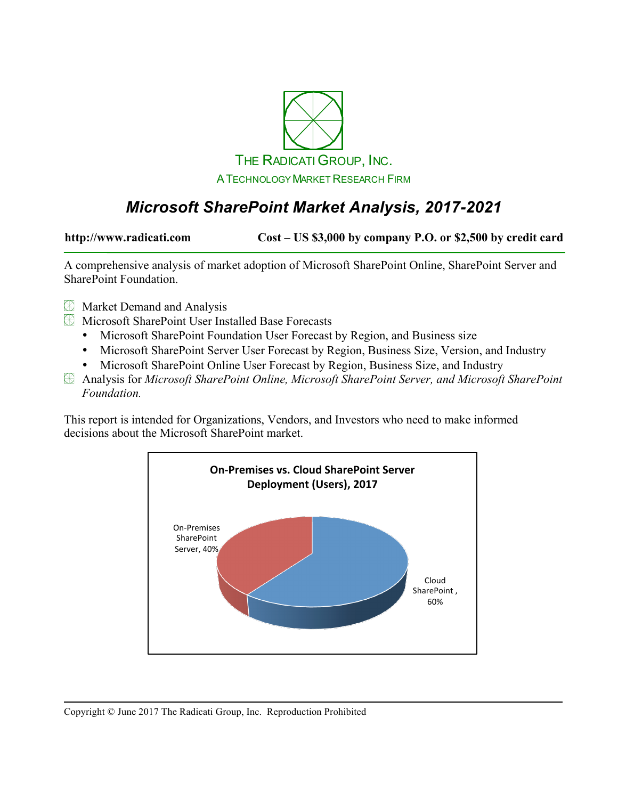

# *Microsoft SharePoint Market Analysis, 2017-2021*

**http://www.radicati.com Cost – US \$3,000 by company P.O. or \$2,500 by credit card**

A comprehensive analysis of market adoption of Microsoft SharePoint Online, SharePoint Server and SharePoint Foundation.

- **EX** Market Demand and Analysis
- Microsoft SharePoint User Installed Base Forecasts
	- Microsoft SharePoint Foundation User Forecast by Region, and Business size
	- Microsoft SharePoint Server User Forecast by Region, Business Size, Version, and Industry
	- Microsoft SharePoint Online User Forecast by Region, Business Size, and Industry
- Analysis for *Microsoft SharePoint Online, Microsoft SharePoint Server, and Microsoft SharePoint Foundation.*

This report is intended for Organizations, Vendors, and Investors who need to make informed decisions about the Microsoft SharePoint market.

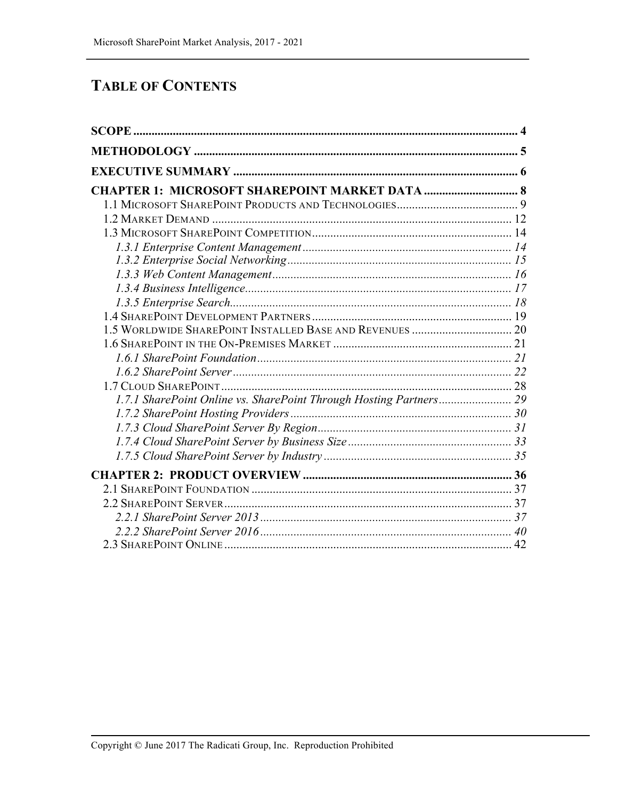## **TABLE OF CONTENTS**

| <b>CHAPTER 1: MICROSOFT SHAREPOINT MARKET DATA  8</b>              |  |
|--------------------------------------------------------------------|--|
|                                                                    |  |
|                                                                    |  |
|                                                                    |  |
|                                                                    |  |
|                                                                    |  |
|                                                                    |  |
|                                                                    |  |
|                                                                    |  |
|                                                                    |  |
|                                                                    |  |
|                                                                    |  |
|                                                                    |  |
|                                                                    |  |
|                                                                    |  |
| 1.7.1 SharePoint Online vs. SharePoint Through Hosting Partners 29 |  |
|                                                                    |  |
|                                                                    |  |
|                                                                    |  |
|                                                                    |  |
|                                                                    |  |
|                                                                    |  |
|                                                                    |  |
|                                                                    |  |
|                                                                    |  |
|                                                                    |  |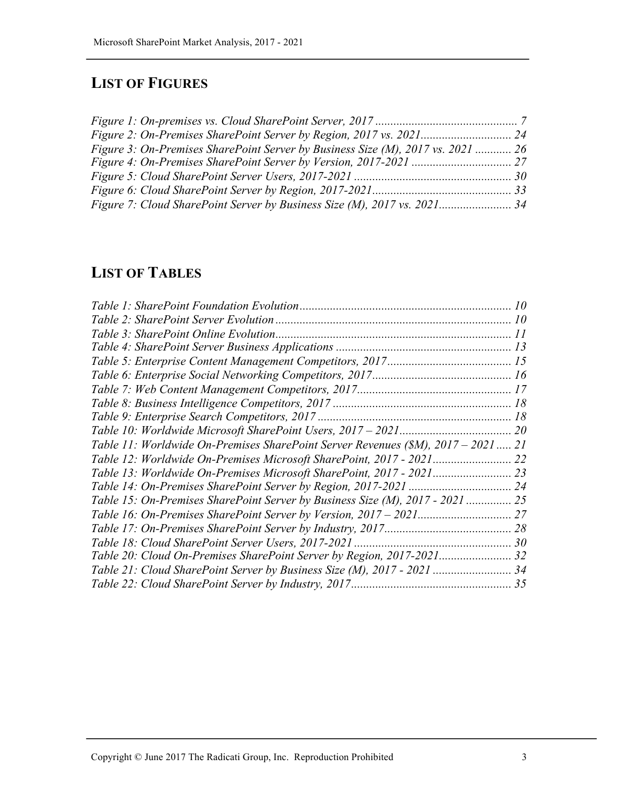# **LIST OF FIGURES**

| Figure 3: On-Premises SharePoint Server by Business Size (M), 2017 vs. 2021  26 |  |
|---------------------------------------------------------------------------------|--|
|                                                                                 |  |
|                                                                                 |  |
|                                                                                 |  |
| Figure 7: Cloud SharePoint Server by Business Size (M), 2017 vs. 2021 34        |  |

## **LIST OF TABLES**

| Table 11: Worldwide On-Premises SharePoint Server Revenues (\$M), 2017 – 2021  21 |  |
|-----------------------------------------------------------------------------------|--|
|                                                                                   |  |
|                                                                                   |  |
|                                                                                   |  |
| Table 15: On-Premises SharePoint Server by Business Size (M), 2017 - 2021  25     |  |
|                                                                                   |  |
|                                                                                   |  |
|                                                                                   |  |
|                                                                                   |  |
|                                                                                   |  |
|                                                                                   |  |
|                                                                                   |  |